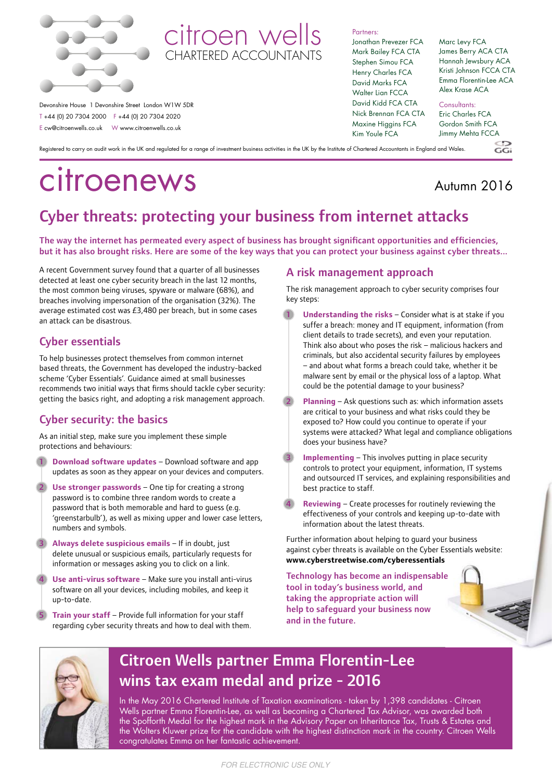



 Devonshire House 1 Devonshire Street London W1W 5DR T +44 (0) 20 7304 2000 F +44 (0) 20 7304 2020 E cw@citroenwells.co.uk W www.citroenwells.co.uk

Partners:

Jonathan Prevezer FCA Mark Bailey FCA CTA Stephen Simou FCA Henry Charles FCA David Marks FCA Walter Lian FCCA David Kidd FCA CTA Nick Brennan FCA CTA Maxine Higgins FCA Kim Youle FCA

#### Marc Levy FCA James Berry ACA CTA Hannah Jewsbury ACA Kristi Johnson FCCA CTA Emma Florentin-Lee ACA Alex Krase ACA

Consultants: Eric Charles FCA Gordon Smith FCA Jimmy Mehta FCCA

Registered to carry on audit work in the UK and regulated for a range of investment business activities in the UK by the Institute of Chartered Accountants in England and Wales.

# citroenews

### Autumn 2016

 $C_2$ 

## Cyber threats: protecting your business from internet attacks

The way the internet has permeated every aspect of business has brought significant opportunities and efficiencies, but it has also brought risks. Here are some of the key ways that you can protect your business against cyber threats...

 A recent Government survey found that a quarter of all businesses detected at least one cyber security breach in the last 12 months, the most common being viruses, spyware or malware (68%), and breaches involving impersonation of the organisation (32%). The average estimated cost was £3,480 per breach, but in some cases an attack can be disastrous.

#### Cyber essentials

To help businesses protect themselves from common internet based threats, the Government has developed the industry-backed scheme 'Cyber Essentials'. Guidance aimed at small businesses recommends two initial ways that firms should tackle cyber security: getting the basics right, and adopting a risk management approach.

#### Cyber security: the basics

As an initial step, make sure you implement these simple protections and behaviours:

- **1 Download software updates** Download software and app updates as soon as they appear on your devices and computers.
- **Use stronger passwords** One tip for creating a strong password is to combine three random words to create a password that is both memorable and hard to guess (e.g. 'greenstarbulb'), as well as mixing upper and lower case letters, numbers and symbols.
- **3 Always delete suspicious emails** If in doubt, just delete unusual or suspicious emails, particularly requests for information or messages asking you to click on a link.
- **4 Use anti-virus software** Make sure you install anti-virus software on all your devices, including mobiles, and keep it up-to-date.
- **5 Train your staff** Provide full information for your staff regarding cyber security threats and how to deal with them.

#### A risk management approach

The risk management approach to cyber security comprises four key steps:

- **1 Understanding the risks** Consider what is at stake if you suffer a breach: money and IT equipment, information (from client details to trade secrets), and even your reputation. Think also about who poses the risk – malicious hackers and criminals, but also accidental security failures by employees – and about what forms a breach could take, whether it be malware sent by email or the physical loss of a laptop. What could be the potential damage to your business?
- **Planning** Ask questions such as: which information assets are critical to your business and what risks could they be exposed to? How could you continue to operate if your systems were attacked? What legal and compliance obligations does your business have?
- **Implementing** This involves putting in place security controls to protect your equipment, information, IT systems and outsourced IT services, and explaining responsibilities and best practice to staff.
- **Reviewing** Create processes for routinely reviewing the effectiveness of your controls and keeping up-to-date with information about the latest threats.

Further information about helping to guard your business against cyber threats is available on the Cyber Essentials website: **www.cyberstreetwise.com/cyberessentials**

Technology has become an indispensable tool in today's business world, and taking the appropriate action will help to safeguard your business now and in the future.





## Citroen Wells partner Emma Florentin-Lee wins tax exam medal and prize - 2016

In the May 2016 Chartered Institute of Taxation examinations - taken by 1,398 candidates - Citroen Wells partner Emma Florentin-Lee, as well as becoming a Chartered Tax Advisor, was awarded both the Spofforth Medal for the highest mark in the Advisory Paper on Inheritance Tax, Trusts & Estates and the Wolters Kluwer prize for the candidate with the highest distinction mark in the country. Citroen Wells congratulates Emma on her fantastic achievement.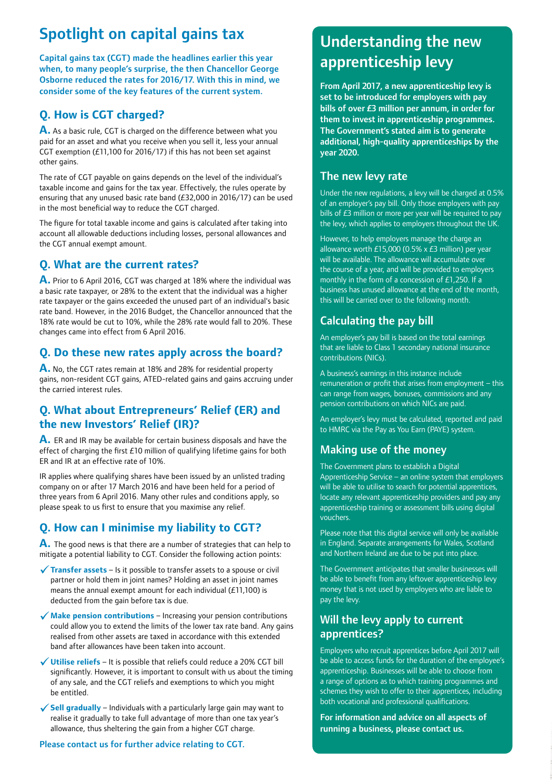## Spotlight on capital gains tax

Capital gains tax (CGT) made the headlines earlier this year when, to many people's surprise, the then Chancellor George Osborne reduced the rates for 2016/17. With this in mind, we consider some of the key features of the current system.

#### **Q. How is CGT charged?**

**A.** As a basic rule, CGT is charged on the difference between what you paid for an asset and what you receive when you sell it, less your annual CGT exemption (£11,100 for 2016/17) if this has not been set against other gains.

The rate of CGT payable on gains depends on the level of the individual's taxable income and gains for the tax year. Effectively, the rules operate by ensuring that any unused basic rate band (£32,000 in 2016/17) can be used in the most beneficial way to reduce the CGT charged.

The figure for total taxable income and gains is calculated after taking into account all allowable deductions including losses, personal allowances and the CGT annual exempt amount.

#### **Q. What are the current rates?**

**A.** Prior to 6 April 2016, CGT was charged at 18% where the individual was a basic rate taxpayer, or 28% to the extent that the individual was a higher rate taxpayer or the gains exceeded the unused part of an individual's basic rate band. However, in the 2016 Budget, the Chancellor announced that the 18% rate would be cut to 10%, while the 28% rate would fall to 20%. These changes came into effect from 6 April 2016.

#### **Q. Do these new rates apply across the board?**

**A.** No, the CGT rates remain at 18% and 28% for residential property gains, non-resident CGT gains, ATED-related gains and gains accruing under the carried interest rules.

#### **Q. What about Entrepreneurs' Relief (ER) and the new Investors' Relief (IR)?**

**A.** ER and IR may be available for certain business disposals and have the effect of charging the first £10 million of qualifying lifetime gains for both ER and IR at an effective rate of 10%.

IR applies where qualifying shares have been issued by an unlisted trading company on or after 17 March 2016 and have been held for a period of three years from 6 April 2016. Many other rules and conditions apply, so please speak to us first to ensure that you maximise any relief.

#### **Q. How can I minimise my liability to CGT?**

**A.** The good news is that there are a number of strategies that can help to mitigate a potential liability to CGT. Consider the following action points:

- 9**Transfer assets** Is it possible to transfer assets to a spouse or civil partner or hold them in joint names? Holding an asset in joint names means the annual exempt amount for each individual (£11,100) is deducted from the gain before tax is due.
- ◆ Make pension contributions Increasing your pension contributions could allow you to extend the limits of the lower tax rate band. Any gains realised from other assets are taxed in accordance with this extended band after allowances have been taken into account.
- 9**Utilise reliefs** It is possible that reliefs could reduce a 20% CGT bill significantly. However, it is important to consult with us about the timing of any sale, and the CGT reliefs and exemptions to which you might be entitled.
- $\checkmark$  Sell gradually Individuals with a particularly large gain may want to realise it gradually to take full advantage of more than one tax year's allowance, thus sheltering the gain from a higher CGT charge.

Please contact us for further advice relating to CGT.

## Understanding the new apprenticeship levy

From April 2017, a new apprenticeship levy is set to be introduced for employers with pay bills of over £3 million per annum, in order for them to invest in apprenticeship programmes. The Government's stated aim is to generate additional, high-quality apprenticeships by the year 2020.

#### The new levy rate

Under the new regulations, a levy will be charged at 0.5% of an employer's pay bill. Only those employers with pay bills of £3 million or more per year will be required to pay the levy, which applies to employers throughout the UK.

However, to help employers manage the charge an allowance worth £15,000 (0.5% x £3 million) per year will be available. The allowance will accumulate over the course of a year, and will be provided to employers monthly in the form of a concession of £1,250. If a business has unused allowance at the end of the month, this will be carried over to the following month.

#### Calculating the pay bill

An employer's pay bill is based on the total earnings that are liable to Class 1 secondary national insurance contributions (NICs).

A business's earnings in this instance include remuneration or profit that arises from employment – this can range from wages, bonuses, commissions and any pension contributions on which NICs are paid.

An employer's levy must be calculated, reported and paid to HMRC via the Pay as You Earn (PAYE) system.

#### Making use of the money

The Government plans to establish a Digital Apprenticeship Service – an online system that employers will be able to utilise to search for potential apprentices, locate any relevant apprenticeship providers and pay any apprenticeship training or assessment bills using digital vouchers.

Please note that this digital service will only be available in England. Separate arrangements for Wales, Scotland and Northern Ireland are due to be put into place.

The Government anticipates that smaller businesses will be able to benefit from any leftover apprenticeship levy money that is not used by employers who are liable to pay the levy.

#### Will the levy apply to current apprentices?

Employers who recruit apprentices before April 2017 will be able to access funds for the duration of the employee's apprenticeship. Businesses will be able to choose from a range of options as to which training programmes and schemes they wish to offer to their apprentices, including both vocational and professional qualifications.

For information and advice on all aspects of running a business, please contact us.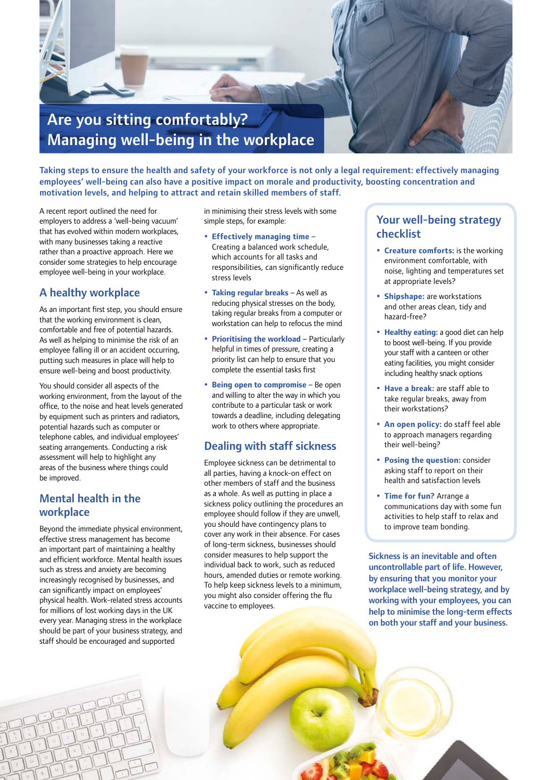

Taking steps to ensure the health and safety of your workforce is not only a legal requirement: effectively managing employees' well-being can also have a positive impact on morale and productivity, boosting concentration and motivation levels, and helping to attract and retain skilled members of staff.

A recent report outlined the need for employers to address a 'well-being vacuum' that has evolved within modern workplaces, with many businesses taking a reactive rather than a proactive approach. Here we consider some strategies to help encourage employee well-being in your workplace.

#### A healthy workplace

As an important first step, you should ensure that the working environment is clean, comfortable and free of potential hazards. As well as helping to minimise the risk of an employee falling ill or an accident occurring, putting such measures in place will help to ensure well-being and boost productivity.

You should consider all aspects of the working environment, from the layout of the office, to the noise and heat levels generated by equipment such as printers and radiators, potential hazards such as computer or telephone cables, and individual employees' seating arrangements. Conducting a risk assessment will help to highlight any areas of the business where things could be improved.

#### Mental health in the workplace

Beyond the immediate physical environment, effective stress management has become an important part of maintaining a healthy and efficient workforce. Mental health issues such as stress and anxiety are becoming increasingly recognised by businesses, and can significantly impact on employees' physical health. Work-related stress accounts for millions of lost working days in the UK every year. Managing stress in the workplace should be part of your business strategy, and staff should be encouraged and supported

in minimising their stress levels with some simple steps, for example:

- **Effectively managing time** Creating a balanced work schedule, which accounts for all tasks and responsibilities, can significantly reduce stress levels
- **Taking regular breaks** As well as reducing physical stresses on the body, taking regular breaks from a computer or workstation can help to refocus the mind
- **Prioritising the workload**  Particularly helpful in times of pressure, creating a priority list can help to ensure that you complete the essential tasks first
- **Being open to compromise** Be open and willing to alter the way in which you contribute to a particular task or work towards a deadline, including delegating work to others where appropriate.

#### Dealing with staff sickness

Employee sickness can be detrimental to all parties, having a knock-on effect on other members of staff and the business as a whole. As well as putting in place a sickness policy outlining the procedures an employee should follow if they are unwell, you should have contingency plans to cover any work in their absence. For cases of long-term sickness, businesses should consider measures to help support the individual back to work, such as reduced hours, amended duties or remote working. To help keep sickness levels to a minimum, you might also consider offering the flu vaccine to employees.

#### Your well-being strategy checklist

- **Creature comforts:** is the working environment comfortable, with noise, lighting and temperatures set at appropriate levels?
- **Shipshape:** are workstations and other areas clean, tidy and hazard-free?
- **Healthy eating:** a good diet can help to boost well-being. If you provide your staff with a canteen or other eating facilities, you might consider including healthy snack options
- **Have a break:** are staff able to take regular breaks, away from their workstations?
- **An open policy:** do staff feel able to approach managers regarding their well-being?
- **Posing the question:** consider asking staff to report on their health and satisfaction levels
- **Time for fun?** Arrange a communications day with some fun activities to help staff to relax and to improve team bonding.

Sickness is an inevitable and often uncontrollable part of life. However, by ensuring that you monitor your workplace well-being strategy, and by working with your employees, you can help to minimise the long-term effects on both your staff and your business.